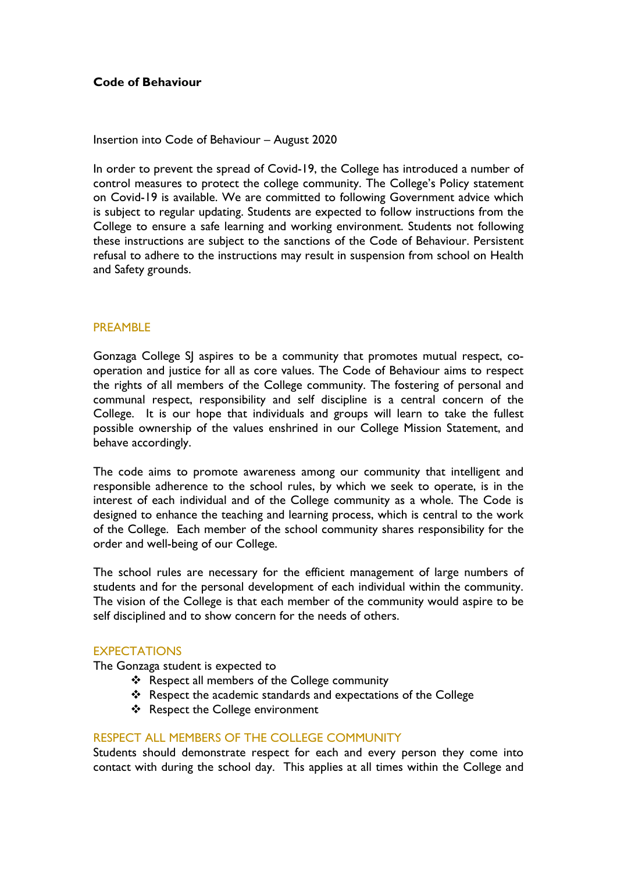# **Code of Behaviour**

### Insertion into Code of Behaviour – August 2020

In order to prevent the spread of Covid-19, the College has introduced a number of control measures to protect the college community. The College's Policy statement on Covid-19 is available. We are committed to following Government advice which is subject to regular updating. Students are expected to follow instructions from the College to ensure a safe learning and working environment. Students not following these instructions are subject to the sanctions of the Code of Behaviour. Persistent refusal to adhere to the instructions may result in suspension from school on Health and Safety grounds.

# **PREAMBLE**

Gonzaga College SJ aspires to be a community that promotes mutual respect, cooperation and justice for all as core values. The Code of Behaviour aims to respect the rights of all members of the College community. The fostering of personal and communal respect, responsibility and self discipline is a central concern of the College. It is our hope that individuals and groups will learn to take the fullest possible ownership of the values enshrined in our College Mission Statement, and behave accordingly.

The code aims to promote awareness among our community that intelligent and responsible adherence to the school rules, by which we seek to operate, is in the interest of each individual and of the College community as a whole. The Code is designed to enhance the teaching and learning process, which is central to the work of the College. Each member of the school community shares responsibility for the order and well-being of our College.

The school rules are necessary for the efficient management of large numbers of students and for the personal development of each individual within the community. The vision of the College is that each member of the community would aspire to be self disciplined and to show concern for the needs of others.

# **EXPECTATIONS**

The Gonzaga student is expected to

- \* Respect all members of the College community
- \* Respect the academic standards and expectations of the College
- ❖ Respect the College environment

# RESPECT ALL MEMBERS OF THE COLLEGE COMMUNITY

Students should demonstrate respect for each and every person they come into contact with during the school day. This applies at all times within the College and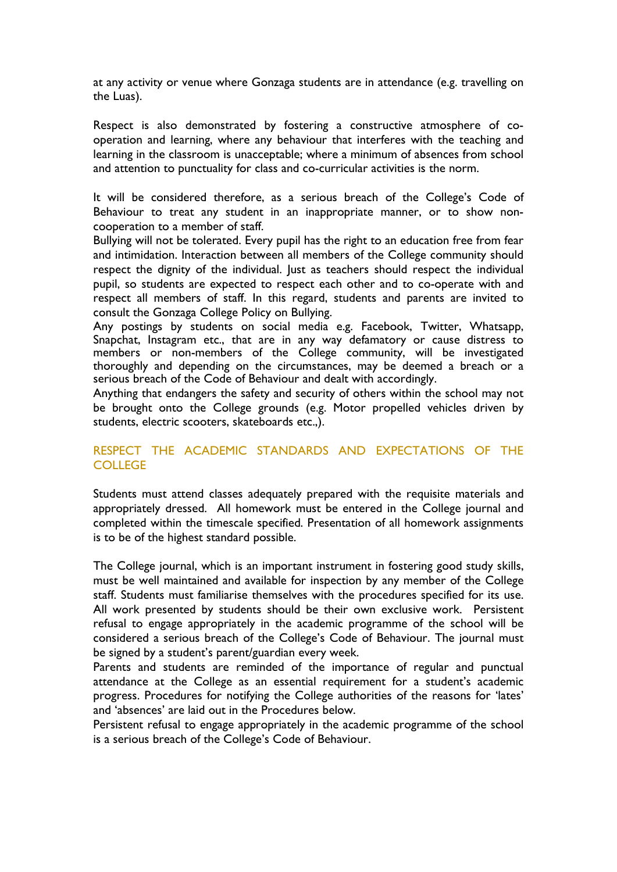at any activity or venue where Gonzaga students are in attendance (e.g. travelling on the Luas).

Respect is also demonstrated by fostering a constructive atmosphere of cooperation and learning, where any behaviour that interferes with the teaching and learning in the classroom is unacceptable; where a minimum of absences from school and attention to punctuality for class and co-curricular activities is the norm.

It will be considered therefore, as a serious breach of the College's Code of Behaviour to treat any student in an inappropriate manner, or to show noncooperation to a member of staff.

Bullying will not be tolerated. Every pupil has the right to an education free from fear and intimidation. Interaction between all members of the College community should respect the dignity of the individual. Just as teachers should respect the individual pupil, so students are expected to respect each other and to co-operate with and respect all members of staff. In this regard, students and parents are invited to consult the Gonzaga College Policy on Bullying.

Any postings by students on social media e.g. Facebook, Twitter, Whatsapp, Snapchat, Instagram etc., that are in any way defamatory or cause distress to members or non-members of the College community, will be investigated thoroughly and depending on the circumstances, may be deemed a breach or a serious breach of the Code of Behaviour and dealt with accordingly.

Anything that endangers the safety and security of others within the school may not be brought onto the College grounds (e.g. Motor propelled vehicles driven by students, electric scooters, skateboards etc.,).

# RESPECT THE ACADEMIC STANDARDS AND EXPECTATIONS OF THE **COLLEGE**

Students must attend classes adequately prepared with the requisite materials and appropriately dressed. All homework must be entered in the College journal and completed within the timescale specified. Presentation of all homework assignments is to be of the highest standard possible.

The College journal, which is an important instrument in fostering good study skills, must be well maintained and available for inspection by any member of the College staff. Students must familiarise themselves with the procedures specified for its use. All work presented by students should be their own exclusive work. Persistent refusal to engage appropriately in the academic programme of the school will be considered a serious breach of the College's Code of Behaviour. The journal must be signed by a student's parent/guardian every week.

Parents and students are reminded of the importance of regular and punctual attendance at the College as an essential requirement for a student's academic progress. Procedures for notifying the College authorities of the reasons for 'lates' and 'absences' are laid out in the Procedures below.

Persistent refusal to engage appropriately in the academic programme of the school is a serious breach of the College's Code of Behaviour.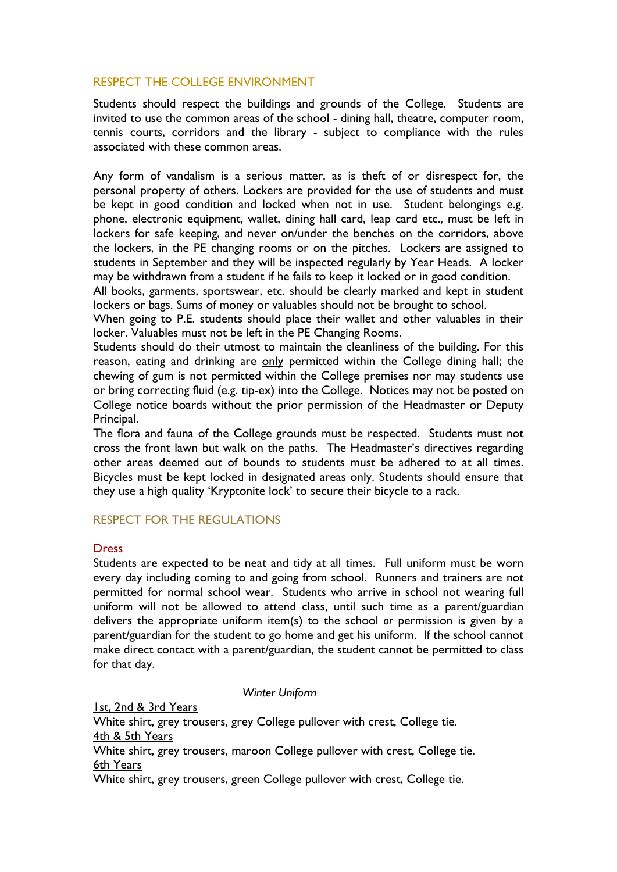# RESPECT THE COLLEGE ENVIRONMENT

Students should respect the buildings and grounds of the College. Students are invited to use the common areas of the school - dining hall, theatre, computer room, tennis courts, corridors and the library - subject to compliance with the rules associated with these common areas.

Any form of vandalism is a serious matter, as is theft of or disrespect for, the personal property of others. Lockers are provided for the use of students and must be kept in good condition and locked when not in use. Student belongings e.g. phone, electronic equipment, wallet, dining hall card, leap card etc., must be left in lockers for safe keeping, and never on/under the benches on the corridors, above the lockers, in the PE changing rooms or on the pitches. Lockers are assigned to students in September and they will be inspected regularly by Year Heads. A locker may be withdrawn from a student if he fails to keep it locked or in good condition.

All books, garments, sportswear, etc. should be clearly marked and kept in student lockers or bags. Sums of money or valuables should not be brought to school.

When going to P.E. students should place their wallet and other valuables in their locker. Valuables must not be left in the PE Changing Rooms.

Students should do their utmost to maintain the cleanliness of the building. For this reason, eating and drinking are only permitted within the College dining hall; the chewing of gum is not permitted within the College premises nor may students use or bring correcting fluid (e.g. tip-ex) into the College. Notices may not be posted on College notice boards without the prior permission of the Headmaster or Deputy Principal.

The flora and fauna of the College grounds must be respected. Students must not cross the front lawn but walk on the paths. The Headmaster's directives regarding other areas deemed out of bounds to students must be adhered to at all times. Bicycles must be kept locked in designated areas only. Students should ensure that they use a high quality 'Kryptonite lock' to secure their bicycle to a rack.

# RESPECT FOR THE REGULATIONS

# Dress

Students are expected to be neat and tidy at all times. Full uniform must be worn every day including coming to and going from school. Runners and trainers are not permitted for normal school wear. Students who arrive in school not wearing full uniform will not be allowed to attend class, until such time as a parent/guardian delivers the appropriate uniform item(s) to the school *or* permission is given by a parent/guardian for the student to go home and get his uniform. If the school cannot make direct contact with a parent/guardian, the student cannot be permitted to class for that day.

### *Winter Uniform*

1st, 2nd & 3rd Years White shirt, grey trousers, grey College pullover with crest, College tie. 4th & 5th Years White shirt, grey trousers, maroon College pullover with crest, College tie. 6th Years White shirt, grey trousers, green College pullover with crest, College tie.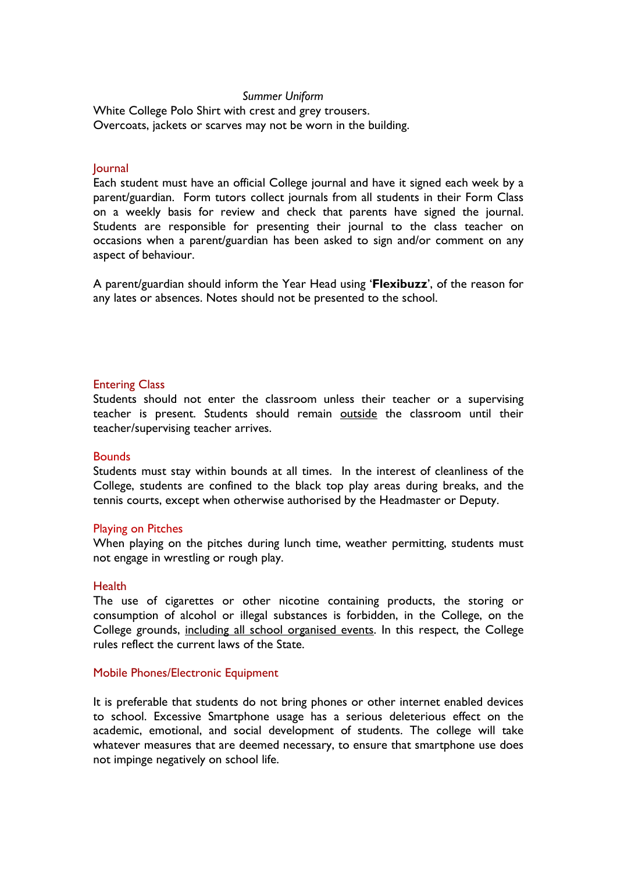### *Summer Uniform*

White College Polo Shirt with crest and grey trousers. Overcoats, jackets or scarves may not be worn in the building.

### **Journal**

Each student must have an official College journal and have it signed each week by a parent/guardian. Form tutors collect journals from all students in their Form Class on a weekly basis for review and check that parents have signed the journal. Students are responsible for presenting their journal to the class teacher on occasions when a parent/guardian has been asked to sign and/or comment on any aspect of behaviour.

A parent/guardian should inform the Year Head using '**Flexibuzz**', of the reason for any lates or absences. Notes should not be presented to the school.

### Entering Class

Students should not enter the classroom unless their teacher or a supervising teacher is present. Students should remain outside the classroom until their teacher/supervising teacher arrives.

#### **Bounds**

Students must stay within bounds at all times. In the interest of cleanliness of the College, students are confined to the black top play areas during breaks, and the tennis courts, except when otherwise authorised by the Headmaster or Deputy.

#### Playing on Pitches

When playing on the pitches during lunch time, weather permitting, students must not engage in wrestling or rough play.

#### **Health**

The use of cigarettes or other nicotine containing products, the storing or consumption of alcohol or illegal substances is forbidden, in the College, on the College grounds, including all school organised events. In this respect, the College rules reflect the current laws of the State.

### Mobile Phones/Electronic Equipment

It is preferable that students do not bring phones or other internet enabled devices to school. Excessive Smartphone usage has a serious deleterious effect on the academic, emotional, and social development of students. The college will take whatever measures that are deemed necessary, to ensure that smartphone use does not impinge negatively on school life.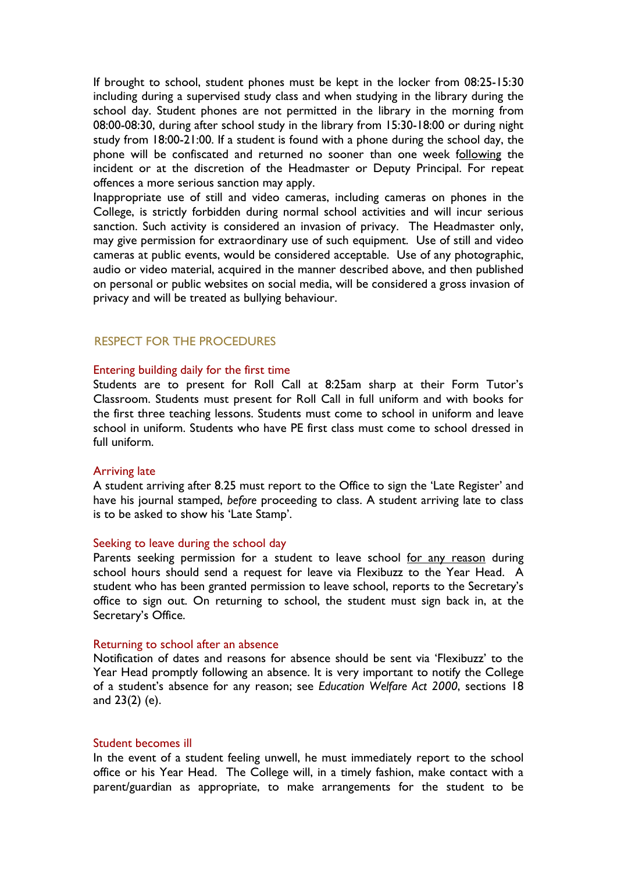If brought to school, student phones must be kept in the locker from 08:25-15:30 including during a supervised study class and when studying in the library during the school day. Student phones are not permitted in the library in the morning from 08:00-08:30, during after school study in the library from 15:30-18:00 or during night study from 18:00-21:00. If a student is found with a phone during the school day, the phone will be confiscated and returned no sooner than one week following the incident or at the discretion of the Headmaster or Deputy Principal. For repeat offences a more serious sanction may apply.

Inappropriate use of still and video cameras, including cameras on phones in the College, is strictly forbidden during normal school activities and will incur serious sanction. Such activity is considered an invasion of privacy. The Headmaster only, may give permission for extraordinary use of such equipment. Use of still and video cameras at public events, would be considered acceptable. Use of any photographic, audio or video material, acquired in the manner described above, and then published on personal or public websites on social media, will be considered a gross invasion of privacy and will be treated as bullying behaviour.

# RESPECT FOR THE PROCEDURES

### Entering building daily for the first time

Students are to present for Roll Call at 8:25am sharp at their Form Tutor's Classroom. Students must present for Roll Call in full uniform and with books for the first three teaching lessons. Students must come to school in uniform and leave school in uniform. Students who have PE first class must come to school dressed in full uniform.

#### Arriving late

A student arriving after 8.25 must report to the Office to sign the 'Late Register' and have his journal stamped, *before* proceeding to class. A student arriving late to class is to be asked to show his 'Late Stamp'.

# Seeking to leave during the school day

Parents seeking permission for a student to leave school for any reason during school hours should send a request for leave via Flexibuzz to the Year Head. A student who has been granted permission to leave school, reports to the Secretary's office to sign out. On returning to school, the student must sign back in, at the Secretary's Office.

#### Returning to school after an absence

Notification of dates and reasons for absence should be sent via 'Flexibuzz' to the Year Head promptly following an absence. It is very important to notify the College of a student's absence for any reason; see *Education Welfare Act 2000*, sections 18 and 23(2) (e).

### Student becomes ill

In the event of a student feeling unwell, he must immediately report to the school office or his Year Head. The College will, in a timely fashion, make contact with a parent/guardian as appropriate, to make arrangements for the student to be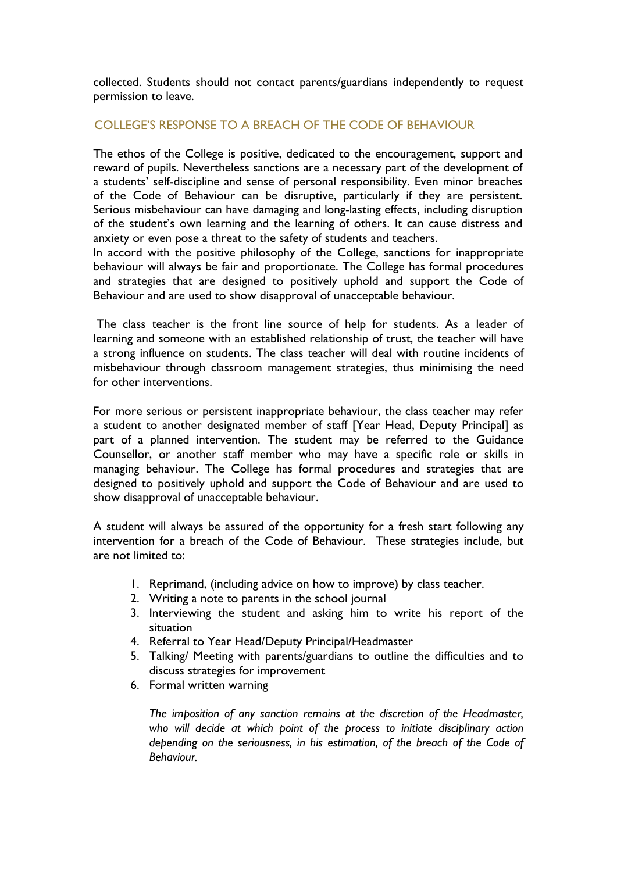collected. Students should not contact parents/guardians independently to request permission to leave.

### COLLEGE'S RESPONSE TO A BREACH OF THE CODE OF BEHAVIOUR

The ethos of the College is positive, dedicated to the encouragement, support and reward of pupils. Nevertheless sanctions are a necessary part of the development of a students' self-discipline and sense of personal responsibility. Even minor breaches of the Code of Behaviour can be disruptive, particularly if they are persistent. Serious misbehaviour can have damaging and long-lasting effects, including disruption of the student's own learning and the learning of others. It can cause distress and anxiety or even pose a threat to the safety of students and teachers.

In accord with the positive philosophy of the College, sanctions for inappropriate behaviour will always be fair and proportionate. The College has formal procedures and strategies that are designed to positively uphold and support the Code of Behaviour and are used to show disapproval of unacceptable behaviour.

The class teacher is the front line source of help for students. As a leader of learning and someone with an established relationship of trust, the teacher will have a strong influence on students. The class teacher will deal with routine incidents of misbehaviour through classroom management strategies, thus minimising the need for other interventions.

For more serious or persistent inappropriate behaviour, the class teacher may refer a student to another designated member of staff [Year Head, Deputy Principal] as part of a planned intervention. The student may be referred to the Guidance Counsellor, or another staff member who may have a specific role or skills in managing behaviour. The College has formal procedures and strategies that are designed to positively uphold and support the Code of Behaviour and are used to show disapproval of unacceptable behaviour.

A student will always be assured of the opportunity for a fresh start following any intervention for a breach of the Code of Behaviour. These strategies include, but are not limited to:

- 1. Reprimand, (including advice on how to improve) by class teacher.
- 2. Writing a note to parents in the school journal
- 3. Interviewing the student and asking him to write his report of the situation
- 4. Referral to Year Head/Deputy Principal/Headmaster
- 5. Talking/ Meeting with parents/guardians to outline the difficulties and to discuss strategies for improvement
- 6. Formal written warning

*The imposition of any sanction remains at the discretion of the Headmaster, who will decide at which point of the process to initiate disciplinary action depending on the seriousness, in his estimation, of the breach of the Code of Behaviour.*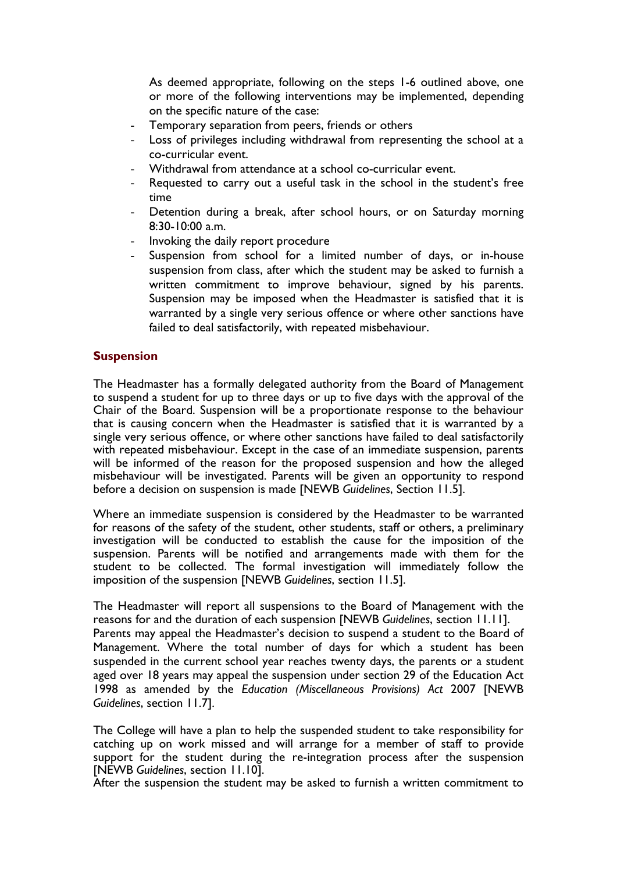As deemed appropriate, following on the steps 1-6 outlined above, one or more of the following interventions may be implemented, depending on the specific nature of the case:

- Temporary separation from peers, friends or others
- Loss of privileges including withdrawal from representing the school at a co-curricular event.
- Withdrawal from attendance at a school co-curricular event.
- Requested to carry out a useful task in the school in the student's free time
- Detention during a break, after school hours, or on Saturday morning 8:30-10:00 a.m.
- Invoking the daily report procedure
- Suspension from school for a limited number of days, or in-house suspension from class, after which the student may be asked to furnish a written commitment to improve behaviour, signed by his parents. Suspension may be imposed when the Headmaster is satisfied that it is warranted by a single very serious offence or where other sanctions have failed to deal satisfactorily, with repeated misbehaviour.

### **Suspension**

The Headmaster has a formally delegated authority from the Board of Management to suspend a student for up to three days or up to five days with the approval of the Chair of the Board. Suspension will be a proportionate response to the behaviour that is causing concern when the Headmaster is satisfied that it is warranted by a single very serious offence, or where other sanctions have failed to deal satisfactorily with repeated misbehaviour. Except in the case of an immediate suspension, parents will be informed of the reason for the proposed suspension and how the alleged misbehaviour will be investigated. Parents will be given an opportunity to respond before a decision on suspension is made [NEWB *Guidelines*, Section 11.5].

Where an immediate suspension is considered by the Headmaster to be warranted for reasons of the safety of the student, other students, staff or others, a preliminary investigation will be conducted to establish the cause for the imposition of the suspension. Parents will be notified and arrangements made with them for the student to be collected. The formal investigation will immediately follow the imposition of the suspension [NEWB *Guidelines*, section 11.5].

The Headmaster will report all suspensions to the Board of Management with the reasons for and the duration of each suspension [NEWB *Guidelines*, section 11.11]. Parents may appeal the Headmaster's decision to suspend a student to the Board of Management. Where the total number of days for which a student has been suspended in the current school year reaches twenty days, the parents or a student aged over 18 years may appeal the suspension under section 29 of the Education Act 1998 as amended by the *Education (Miscellaneous Provisions) Act* 2007 [NEWB *Guidelines*, section 11.7].

The College will have a plan to help the suspended student to take responsibility for catching up on work missed and will arrange for a member of staff to provide support for the student during the re-integration process after the suspension [NEWB *Guidelines*, section 11.10].

After the suspension the student may be asked to furnish a written commitment to